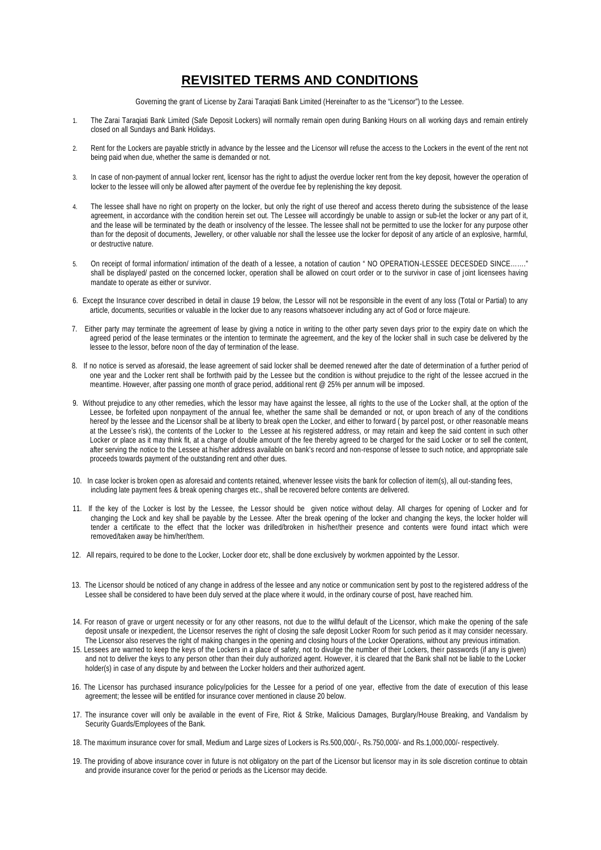## **REVISITED TERMS AND CONDITIONS**

Governing the grant of License by Zarai Taraqiati Bank Limited (Hereinafter to as the "Licensor") to the Lessee.

- 1. The Zarai Taraqiati Bank Limited (Safe Deposit Lockers) will normally remain open during Banking Hours on all working days and remain entirely closed on all Sundays and Bank Holidays.
- 2. Rent for the Lockers are payable strictly in advance by the lessee and the Licensor will refuse the access to the Lockers in the event of the rent not being paid when due, whether the same is demanded or not.
- 3. In case of non-payment of annual locker rent, licensor has the right to adjust the overdue locker rent from the key deposit, however the operation of locker to the lessee will only be allowed after payment of the overdue fee by replenishing the key deposit.
- 4. The lessee shall have no right on property on the locker, but only the right of use thereof and access thereto during the subsistence of the lease agreement, in accordance with the condition herein set out. The Lessee will accordingly be unable to assign or sub-let the locker or any part of it, and the lease will be terminated by the death or insolvency of the lessee. The lessee shall not be permitted to use the locker for any purpose other than for the deposit of documents, Jewellery, or other valuable nor shall the lessee use the locker for deposit of any article of an explosive, harmful, or destructive nature.
- 5. On receipt of formal information/ intimation of the death of a lessee, a notation of caution " NO OPERATION-LESSEE DECESDED SINCE……." shall be displayed/ pasted on the concerned locker, operation shall be allowed on court order or to the survivor in case of joint licensees having mandate to operate as either or survivor.
- 6. Except the Insurance cover described in detail in clause 19 below, the Lessor will not be responsible in the event of any loss (Total or Partial) to any article, documents, securities or valuable in the locker due to any reasons whatsoever including any act of God or force majeure.
- 7. Either party may terminate the agreement of lease by giving a notice in writing to the other party seven days prior to the expiry date on which the agreed period of the lease terminates or the intention to terminate the agreement, and the key of the locker shall in such case be delivered by the lessee to the lessor, before noon of the day of termination of the lease.
- 8. If no notice is served as aforesaid, the lease agreement of said locker shall be deemed renewed after the date of determination of a further period of one year and the Locker rent shall be forthwith paid by the Lessee but the condition is without prejudice to the right of the lessee accrued in the meantime. However, after passing one month of grace period, additional rent @ 25% per annum will be imposed.
- 9. Without prejudice to any other remedies, which the lessor may have against the lessee, all rights to the use of the Locker shall, at the option of the Lessee, be forfeited upon nonpayment of the annual fee, whether the same shall be demanded or not, or upon breach of any of the conditions hereof by the lessee and the Licensor shall be at liberty to break open the Locker, and either to forward ( by parcel post, or other reasonable means at the Lessee's risk), the contents of the Locker to the Lessee at his registered address, or may retain and keep the said content in such other Locker or place as it may think fit, at a charge of double amount of the fee thereby agreed to be charged for the said Locker or to sell the content, after serving the notice to the Lessee at his/her address available on bank's record and non-response of lessee to such notice, and appropriate sale proceeds towards payment of the outstanding rent and other dues.
- 10. In case locker is broken open as aforesaid and contents retained, whenever lessee visits the bank for collection of item(s), all out-standing fees, including late payment fees & break opening charges etc., shall be recovered before contents are delivered.
- 11. If the key of the Locker is lost by the Lessee, the Lessor should be given notice without delay. All charges for opening of Locker and for changing the Lock and key shall be payable by the Lessee. After the break opening of the locker and changing the keys, the locker holder will tender a certificate to the effect that the locker was drilled/broken in his/her/their presence and contents were found intact which were removed/taken away be him/her/them.
- 12. All repairs, required to be done to the Locker, Locker door etc, shall be done exclusively by workmen appointed by the Lessor.
- 13. The Licensor should be noticed of any change in address of the lessee and any notice or communication sent by post to the registered address of the Lessee shall be considered to have been duly served at the place where it would, in the ordinary course of post, have reached him.
- 14. For reason of grave or urgent necessity or for any other reasons, not due to the willful default of the Licensor, which make the opening of the safe deposit unsafe or inexpedient, the Licensor reserves the right of closing the safe deposit Locker Room for such period as it may consider necessary. The Licensor also reserves the right of making changes in the opening and closing hours of the Locker Operations, without any previous intimation.
- 15. Lessees are warned to keep the keys of the Lockers in a place of safety, not to divulge the number of their Lockers, their passwords (if any is given) and not to deliver the keys to any person other than their duly authorized agent. However, it is cleared that the Bank shall not be liable to the Locker holder(s) in case of any dispute by and between the Locker holders and their authorized agent.
- 16. The Licensor has purchased insurance policy/policies for the Lessee for a period of one year, effective from the date of execution of this lease agreement; the lessee will be entitled for insurance cover mentioned in clause 20 below.
- 17. The insurance cover will only be available in the event of Fire, Riot & Strike, Malicious Damages, Burglary/House Breaking, and Vandalism by Security Guards/Employees of the Bank.
- 18. The maximum insurance cover for small, Medium and Large sizes of Lockers is Rs.500,000/-, Rs.750,000/- and Rs.1,000,000/- respectively.
- 19. The providing of above insurance cover in future is not obligatory on the part of the Licensor but licensor may in its sole discretion continue to obtain and provide insurance cover for the period or periods as the Licensor may decide.